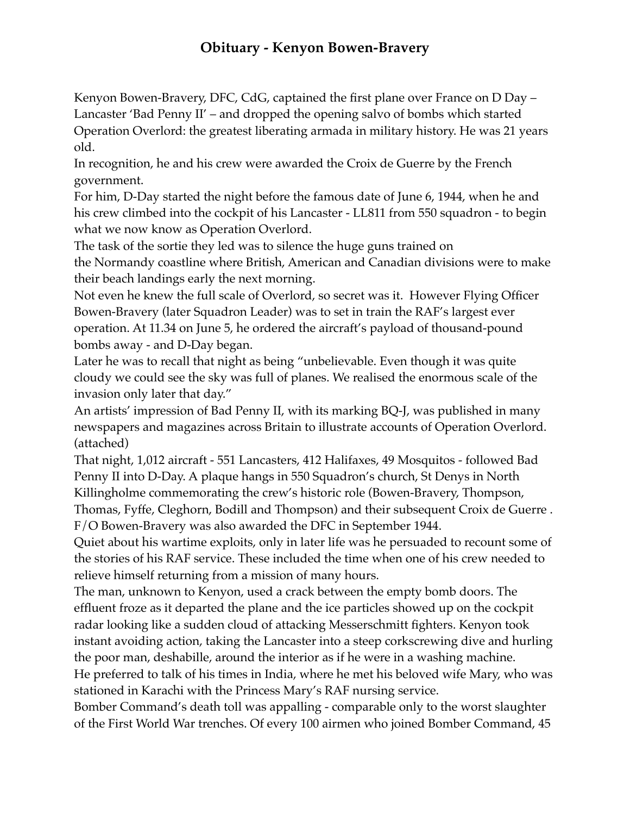## **Obituary - Kenyon Bowen-Bravery**

Kenyon Bowen-Bravery, DFC, CdG, captained the first plane over France on D Day – Lancaster 'Bad Penny II' – and dropped the opening salvo of bombs which started Operation Overlord: the greatest liberating armada in military history. He was 21 years old.

In recognition, he and his crew were awarded the Croix de Guerre by the French government.

For him, D-Day started the night before the famous date of June 6, 1944, when he and his crew climbed into the cockpit of his Lancaster - LL811 from 550 squadron - to begin what we now know as Operation Overlord.

The task of the sortie they led was to silence the huge guns trained on the Normandy coastline where British, American and Canadian divisions were to make their beach landings early the next morning.

Not even he knew the full scale of Overlord, so secret was it. However Flying Officer Bowen-Bravery (later Squadron Leader) was to set in train the RAF's largest ever operation. At 11.34 on June 5, he ordered the aircraft's payload of thousand-pound bombs away - and D-Day began.

Later he was to recall that night as being "unbelievable. Even though it was quite cloudy we could see the sky was full of planes. We realised the enormous scale of the invasion only later that day."

An artists' impression of Bad Penny II, with its marking BQ-J, was published in many newspapers and magazines across Britain to illustrate accounts of Operation Overlord. (attached)

That night, 1,012 aircraft - 551 Lancasters, 412 Halifaxes, 49 Mosquitos - followed Bad Penny II into D-Day. A plaque hangs in 550 Squadron's church, St Denys in North Killingholme commemorating the crew's historic role (Bowen-Bravery, Thompson, Thomas, Fyffe, Cleghorn, Bodill and Thompson) and their subsequent Croix de Guerre .

F/O Bowen-Bravery was also awarded the DFC in September 1944.

Quiet about his wartime exploits, only in later life was he persuaded to recount some of the stories of his RAF service. These included the time when one of his crew needed to relieve himself returning from a mission of many hours.

The man, unknown to Kenyon, used a crack between the empty bomb doors. The effluent froze as it departed the plane and the ice particles showed up on the cockpit radar looking like a sudden cloud of attacking Messerschmitt fighters. Kenyon took instant avoiding action, taking the Lancaster into a steep corkscrewing dive and hurling the poor man, deshabille, around the interior as if he were in a washing machine.

He preferred to talk of his times in India, where he met his beloved wife Mary, who was stationed in Karachi with the Princess Mary's RAF nursing service.

Bomber Command's death toll was appalling - comparable only to the worst slaughter of the First World War trenches. Of every 100 airmen who joined Bomber Command, 45